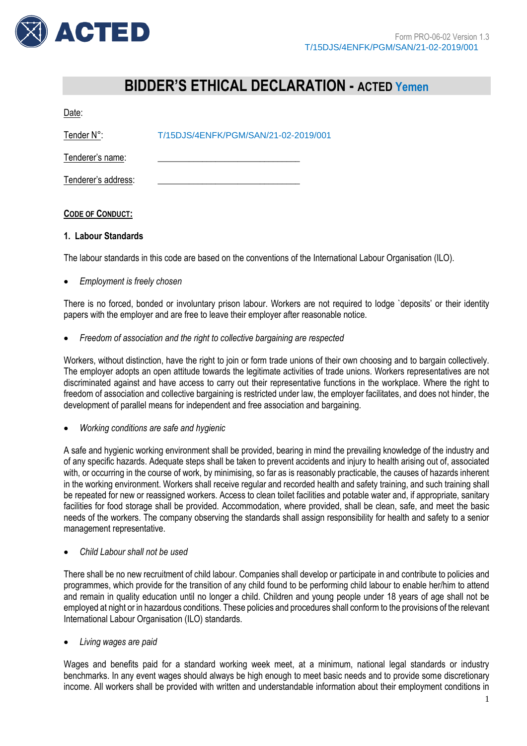

# **BIDDER'S ETHICAL DECLARATION - ACTED Yemen**

Date:

| Tender N°:          | T/15DJS/4ENFK/PGM/SAN/21-02-2019/001 |
|---------------------|--------------------------------------|
| Tenderer's name:    |                                      |
| Tenderer's address: |                                      |

# **CODE OF CONDUCT:**

# **1. Labour Standards**

The labour standards in this code are based on the conventions of the International Labour Organisation (ILO).

*Employment is freely chosen*

There is no forced, bonded or involuntary prison labour. Workers are not required to lodge `deposits' or their identity papers with the employer and are free to leave their employer after reasonable notice.

*Freedom of association and the right to collective bargaining are respected*

Workers, without distinction, have the right to join or form trade unions of their own choosing and to bargain collectively. The employer adopts an open attitude towards the legitimate activities of trade unions. Workers representatives are not discriminated against and have access to carry out their representative functions in the workplace. Where the right to freedom of association and collective bargaining is restricted under law, the employer facilitates, and does not hinder, the development of parallel means for independent and free association and bargaining.

*Working conditions are safe and hygienic*

A safe and hygienic working environment shall be provided, bearing in mind the prevailing knowledge of the industry and of any specific hazards. Adequate steps shall be taken to prevent accidents and injury to health arising out of, associated with, or occurring in the course of work, by minimising, so far as is reasonably practicable, the causes of hazards inherent in the working environment. Workers shall receive regular and recorded health and safety training, and such training shall be repeated for new or reassigned workers. Access to clean toilet facilities and potable water and, if appropriate, sanitary facilities for food storage shall be provided. Accommodation, where provided, shall be clean, safe, and meet the basic needs of the workers. The company observing the standards shall assign responsibility for health and safety to a senior management representative.

*Child Labour shall not be used*

There shall be no new recruitment of child labour. Companies shall develop or participate in and contribute to policies and programmes, which provide for the transition of any child found to be performing child labour to enable her/him to attend and remain in quality education until no longer a child. Children and young people under 18 years of age shall not be employed at night or in hazardous conditions. These policies and procedures shall conform to the provisions of the relevant International Labour Organisation (ILO) standards.

*Living wages are paid*

Wages and benefits paid for a standard working week meet, at a minimum, national legal standards or industry benchmarks. In any event wages should always be high enough to meet basic needs and to provide some discretionary income. All workers shall be provided with written and understandable information about their employment conditions in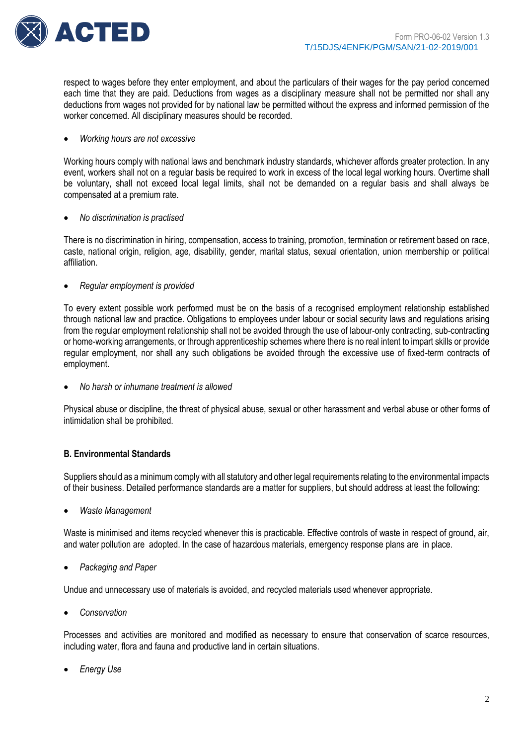

respect to wages before they enter employment, and about the particulars of their wages for the pay period concerned each time that they are paid. Deductions from wages as a disciplinary measure shall not be permitted nor shall any deductions from wages not provided for by national law be permitted without the express and informed permission of the worker concerned. All disciplinary measures should be recorded.

#### *Working hours are not excessive*

Working hours comply with national laws and benchmark industry standards, whichever affords greater protection. In any event, workers shall not on a regular basis be required to work in excess of the local legal working hours. Overtime shall be voluntary, shall not exceed local legal limits, shall not be demanded on a regular basis and shall always be compensated at a premium rate.

## *No discrimination is practised*

There is no discrimination in hiring, compensation, access to training, promotion, termination or retirement based on race, caste, national origin, religion, age, disability, gender, marital status, sexual orientation, union membership or political affiliation.

*Regular employment is provided*

To every extent possible work performed must be on the basis of a recognised employment relationship established through national law and practice. Obligations to employees under labour or social security laws and regulations arising from the regular employment relationship shall not be avoided through the use of labour-only contracting, sub-contracting or home-working arrangements, or through apprenticeship schemes where there is no real intent to impart skills or provide regular employment, nor shall any such obligations be avoided through the excessive use of fixed-term contracts of employment.

*No harsh or inhumane treatment is allowed*

Physical abuse or discipline, the threat of physical abuse, sexual or other harassment and verbal abuse or other forms of intimidation shall be prohibited.

# **B. Environmental Standards**

Suppliers should as a minimum comply with all statutory and other legal requirements relating to the environmental impacts of their business. Detailed performance standards are a matter for suppliers, but should address at least the following:

*Waste Management*

Waste is minimised and items recycled whenever this is practicable. Effective controls of waste in respect of ground, air, and water pollution are adopted. In the case of hazardous materials, emergency response plans are in place.

*Packaging and Paper*

Undue and unnecessary use of materials is avoided, and recycled materials used whenever appropriate.

*Conservation*

Processes and activities are monitored and modified as necessary to ensure that conservation of scarce resources, including water, flora and fauna and productive land in certain situations.

*Energy Use*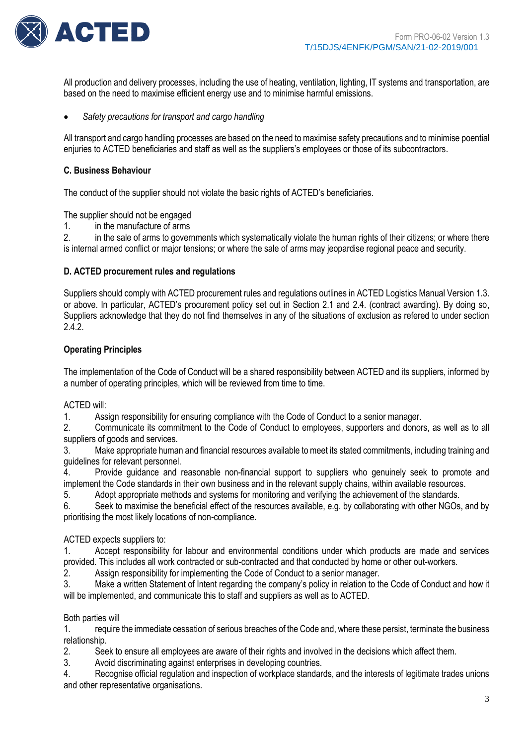

All production and delivery processes, including the use of heating, ventilation, lighting, IT systems and transportation, are based on the need to maximise efficient energy use and to minimise harmful emissions.

*Safety precautions for transport and cargo handling*

All transport and cargo handling processes are based on the need to maximise safety precautions and to minimise poential enjuries to ACTED beneficiaries and staff as well as the suppliers's employees or those of its subcontractors.

## **C. Business Behaviour**

The conduct of the supplier should not violate the basic rights of ACTED's beneficiaries.

The supplier should not be engaged

1. in the manufacture of arms

2. in the sale of arms to governments which systematically violate the human rights of their citizens; or where there is internal armed conflict or major tensions; or where the sale of arms may jeopardise regional peace and security.

## **D. ACTED procurement rules and regulations**

Suppliers should comply with ACTED procurement rules and regulations outlines in ACTED Logistics Manual Version 1.3. or above. In particular, ACTED's procurement policy set out in Section 2.1 and 2.4. (contract awarding). By doing so, Suppliers acknowledge that they do not find themselves in any of the situations of exclusion as refered to under section 2.4.2.

## **Operating Principles**

The implementation of the Code of Conduct will be a shared responsibility between ACTED and its suppliers, informed by a number of operating principles, which will be reviewed from time to time.

ACTED will:

1. Assign responsibility for ensuring compliance with the Code of Conduct to a senior manager.

2. Communicate its commitment to the Code of Conduct to employees, supporters and donors, as well as to all suppliers of goods and services.

3. Make appropriate human and financial resources available to meet its stated commitments, including training and guidelines for relevant personnel.

4. Provide guidance and reasonable non-financial support to suppliers who genuinely seek to promote and implement the Code standards in their own business and in the relevant supply chains, within available resources.

5. Adopt appropriate methods and systems for monitoring and verifying the achievement of the standards.

6. Seek to maximise the beneficial effect of the resources available, e.g. by collaborating with other NGOs, and by prioritising the most likely locations of non-compliance.

#### ACTED expects suppliers to:

1. Accept responsibility for labour and environmental conditions under which products are made and services provided. This includes all work contracted or sub-contracted and that conducted by home or other out-workers.

2. Assign responsibility for implementing the Code of Conduct to a senior manager.

3. Make a written Statement of Intent regarding the company's policy in relation to the Code of Conduct and how it will be implemented, and communicate this to staff and suppliers as well as to ACTED.

#### Both parties will

1. require the immediate cessation of serious breaches of the Code and, where these persist, terminate the business relationship.

2. Seek to ensure all employees are aware of their rights and involved in the decisions which affect them.

3. Avoid discriminating against enterprises in developing countries.

4. Recognise official regulation and inspection of workplace standards, and the interests of legitimate trades unions and other representative organisations.